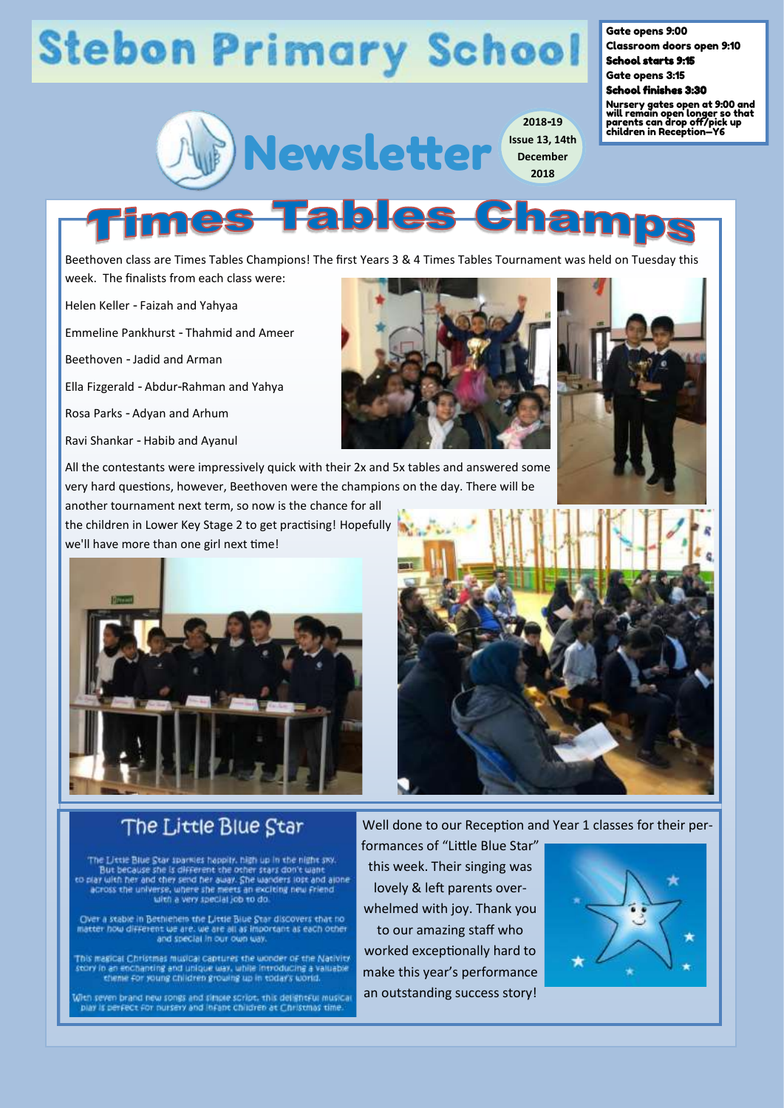# **Stebon Primary School**



**2018-19 Issue 13, 14th December 2018**

Gate opens 9:00

Classroom doors open 9:10 School starts 9:15

Gate opens 3:15

#### School finishes 3:30

Nursery gates open at 9:00 and will remain open longer so that parents can drop off/pick up children in Reception—Y6

Beethoven class are Times Tables Champions! The first Years 3 & 4 Times Tables Tournament was held on Tuesday this week. The finalists from each class were:

**s Tables C** 

Helen Keller - Faizah and Yahyaa

Emmeline Pankhurst - Thahmid and Ameer

Beethoven - Jadid and Arman

Ella Fizgerald - Abdur-Rahman and Yahya

Rosa Parks - Adyan and Arhum

Ravi Shankar - Habib and Ayanul

All the contestants were impressively quick with their 2x and 5x tables and answered some very hard questions, however, Beethoven were the champions on the day. There will be

another tournament next term, so now is the chance for all the children in Lower Key Stage 2 to get practising! Hopefully we'll have more than one girl next time!



#### The Little Blue Star

The Little Blue Star sparkes happity, high up in the night sxy. The books she is different the other stars don't want<br>to play with her and they send her away. She wanders lost and alone<br>across the universe, where she meets an exciting new Friend<br>with a very special job to do.

Over a stable in Bethlehem the Little Blue Star discovers that no matter how different we are, we are all as important as each other<br>and special in our own way.

This magical Christmas musical captures the wonder of the Nativity story in an enchanting and uploue way, while introducing a valuable theme for young children growing up in today's world.

With seven brand new songs and simple script, this delightful musical play is perfect for nursery and infant children at Christmas time.

Well done to our Reception and Year 1 classes for their per-

formances of "Little Blue Star" this week. Their singing was lovely & left parents overwhelmed with joy. Thank you to our amazing staff who worked exceptionally hard to make this year's performance an outstanding success story!